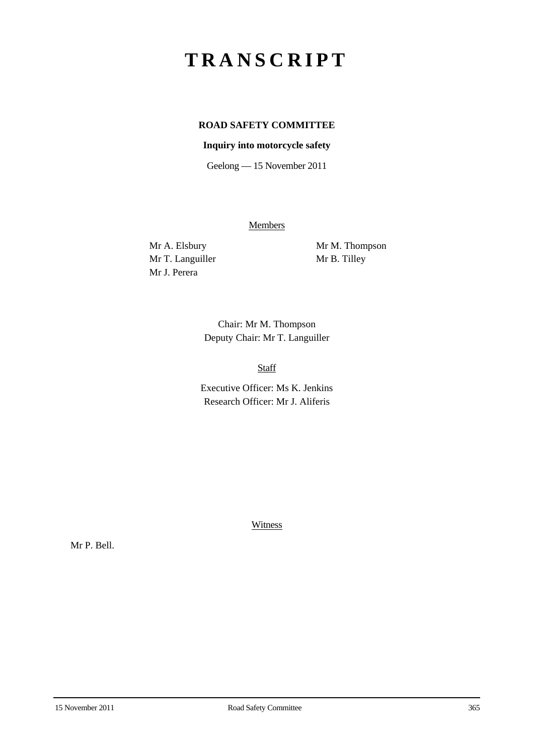## **TRANSCRIPT**

## **ROAD SAFETY COMMITTEE**

## **Inquiry into motorcycle safety**

Geelong — 15 November 2011

**Members** 

Mr T. Languiller Mr B. Tilley Mr J. Perera

Mr A. Elsbury Mr M. Thompson

Chair: Mr M. Thompson Deputy Chair: Mr T. Languiller

Staff

Executive Officer: Ms K. Jenkins Research Officer: Mr J. Aliferis

Witness

Mr P. Bell.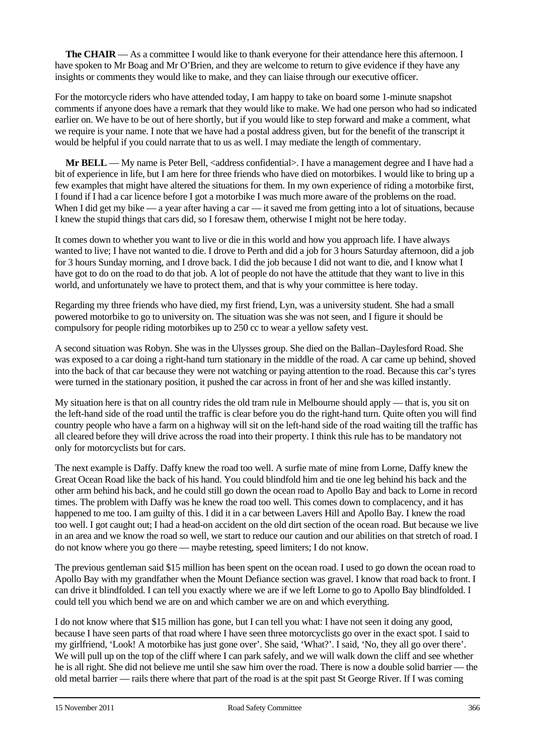**The CHAIR** — As a committee I would like to thank everyone for their attendance here this afternoon. I have spoken to Mr Boag and Mr O'Brien, and they are welcome to return to give evidence if they have any insights or comments they would like to make, and they can liaise through our executive officer.

For the motorcycle riders who have attended today, I am happy to take on board some 1-minute snapshot comments if anyone does have a remark that they would like to make. We had one person who had so indicated earlier on. We have to be out of here shortly, but if you would like to step forward and make a comment, what we require is your name. I note that we have had a postal address given, but for the benefit of the transcript it would be helpful if you could narrate that to us as well. I may mediate the length of commentary.

**Mr BELL** — My name is Peter Bell, <address confidential>. I have a management degree and I have had a bit of experience in life, but I am here for three friends who have died on motorbikes. I would like to bring up a few examples that might have altered the situations for them. In my own experience of riding a motorbike first, I found if I had a car licence before I got a motorbike I was much more aware of the problems on the road. When I did get my bike — a year after having a car — it saved me from getting into a lot of situations, because I knew the stupid things that cars did, so I foresaw them, otherwise I might not be here today.

It comes down to whether you want to live or die in this world and how you approach life. I have always wanted to live; I have not wanted to die. I drove to Perth and did a job for 3 hours Saturday afternoon, did a job for 3 hours Sunday morning, and I drove back. I did the job because I did not want to die, and I know what I have got to do on the road to do that job. A lot of people do not have the attitude that they want to live in this world, and unfortunately we have to protect them, and that is why your committee is here today.

Regarding my three friends who have died, my first friend, Lyn, was a university student. She had a small powered motorbike to go to university on. The situation was she was not seen, and I figure it should be compulsory for people riding motorbikes up to 250 cc to wear a yellow safety vest.

A second situation was Robyn. She was in the Ulysses group. She died on the Ballan–Daylesford Road. She was exposed to a car doing a right-hand turn stationary in the middle of the road. A car came up behind, shoved into the back of that car because they were not watching or paying attention to the road. Because this car's tyres were turned in the stationary position, it pushed the car across in front of her and she was killed instantly.

My situation here is that on all country rides the old tram rule in Melbourne should apply — that is, you sit on the left-hand side of the road until the traffic is clear before you do the right-hand turn. Quite often you will find country people who have a farm on a highway will sit on the left-hand side of the road waiting till the traffic has all cleared before they will drive across the road into their property. I think this rule has to be mandatory not only for motorcyclists but for cars.

The next example is Daffy. Daffy knew the road too well. A surfie mate of mine from Lorne, Daffy knew the Great Ocean Road like the back of his hand. You could blindfold him and tie one leg behind his back and the other arm behind his back, and he could still go down the ocean road to Apollo Bay and back to Lorne in record times. The problem with Daffy was he knew the road too well. This comes down to complacency, and it has happened to me too. I am guilty of this. I did it in a car between Lavers Hill and Apollo Bay. I knew the road too well. I got caught out; I had a head-on accident on the old dirt section of the ocean road. But because we live in an area and we know the road so well, we start to reduce our caution and our abilities on that stretch of road. I do not know where you go there — maybe retesting, speed limiters; I do not know.

The previous gentleman said \$15 million has been spent on the ocean road. I used to go down the ocean road to Apollo Bay with my grandfather when the Mount Defiance section was gravel. I know that road back to front. I can drive it blindfolded. I can tell you exactly where we are if we left Lorne to go to Apollo Bay blindfolded. I could tell you which bend we are on and which camber we are on and which everything.

I do not know where that \$15 million has gone, but I can tell you what: I have not seen it doing any good, because I have seen parts of that road where I have seen three motorcyclists go over in the exact spot. I said to my girlfriend, 'Look! A motorbike has just gone over'. She said, 'What?'. I said, 'No, they all go over there'. We will pull up on the top of the cliff where I can park safely, and we will walk down the cliff and see whether he is all right. She did not believe me until she saw him over the road. There is now a double solid barrier — the old metal barrier — rails there where that part of the road is at the spit past St George River. If I was coming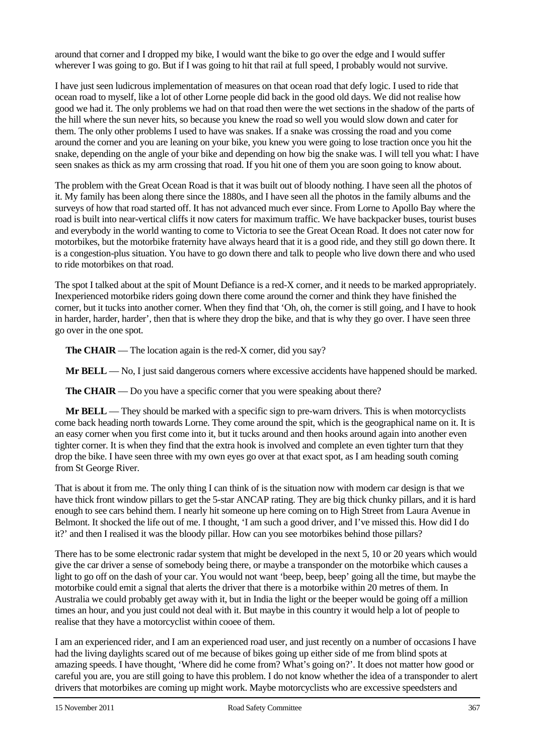around that corner and I dropped my bike, I would want the bike to go over the edge and I would suffer wherever I was going to go. But if I was going to hit that rail at full speed, I probably would not survive.

I have just seen ludicrous implementation of measures on that ocean road that defy logic. I used to ride that ocean road to myself, like a lot of other Lorne people did back in the good old days. We did not realise how good we had it. The only problems we had on that road then were the wet sections in the shadow of the parts of the hill where the sun never hits, so because you knew the road so well you would slow down and cater for them. The only other problems I used to have was snakes. If a snake was crossing the road and you come around the corner and you are leaning on your bike, you knew you were going to lose traction once you hit the snake, depending on the angle of your bike and depending on how big the snake was. I will tell you what: I have seen snakes as thick as my arm crossing that road. If you hit one of them you are soon going to know about.

The problem with the Great Ocean Road is that it was built out of bloody nothing. I have seen all the photos of it. My family has been along there since the 1880s, and I have seen all the photos in the family albums and the surveys of how that road started off. It has not advanced much ever since. From Lorne to Apollo Bay where the road is built into near-vertical cliffs it now caters for maximum traffic. We have backpacker buses, tourist buses and everybody in the world wanting to come to Victoria to see the Great Ocean Road. It does not cater now for motorbikes, but the motorbike fraternity have always heard that it is a good ride, and they still go down there. It is a congestion-plus situation. You have to go down there and talk to people who live down there and who used to ride motorbikes on that road.

The spot I talked about at the spit of Mount Defiance is a red-X corner, and it needs to be marked appropriately. Inexperienced motorbike riders going down there come around the corner and think they have finished the corner, but it tucks into another corner. When they find that 'Oh, oh, the corner is still going, and I have to hook in harder, harder, harder', then that is where they drop the bike, and that is why they go over. I have seen three go over in the one spot.

**The CHAIR** — The location again is the red-X corner, did you say?

**Mr BELL** — No, I just said dangerous corners where excessive accidents have happened should be marked.

**The CHAIR** — Do you have a specific corner that you were speaking about there?

**Mr BELL** — They should be marked with a specific sign to pre-warn drivers. This is when motorcyclists come back heading north towards Lorne. They come around the spit, which is the geographical name on it. It is an easy corner when you first come into it, but it tucks around and then hooks around again into another even tighter corner. It is when they find that the extra hook is involved and complete an even tighter turn that they drop the bike. I have seen three with my own eyes go over at that exact spot, as I am heading south coming from St George River.

That is about it from me. The only thing I can think of is the situation now with modern car design is that we have thick front window pillars to get the 5-star ANCAP rating. They are big thick chunky pillars, and it is hard enough to see cars behind them. I nearly hit someone up here coming on to High Street from Laura Avenue in Belmont. It shocked the life out of me. I thought, 'I am such a good driver, and I've missed this. How did I do it?' and then I realised it was the bloody pillar. How can you see motorbikes behind those pillars?

There has to be some electronic radar system that might be developed in the next 5, 10 or 20 years which would give the car driver a sense of somebody being there, or maybe a transponder on the motorbike which causes a light to go off on the dash of your car. You would not want 'beep, beep, beep' going all the time, but maybe the motorbike could emit a signal that alerts the driver that there is a motorbike within 20 metres of them. In Australia we could probably get away with it, but in India the light or the beeper would be going off a million times an hour, and you just could not deal with it. But maybe in this country it would help a lot of people to realise that they have a motorcyclist within cooee of them.

I am an experienced rider, and I am an experienced road user, and just recently on a number of occasions I have had the living daylights scared out of me because of bikes going up either side of me from blind spots at amazing speeds. I have thought, 'Where did he come from? What's going on?'. It does not matter how good or careful you are, you are still going to have this problem. I do not know whether the idea of a transponder to alert drivers that motorbikes are coming up might work. Maybe motorcyclists who are excessive speedsters and